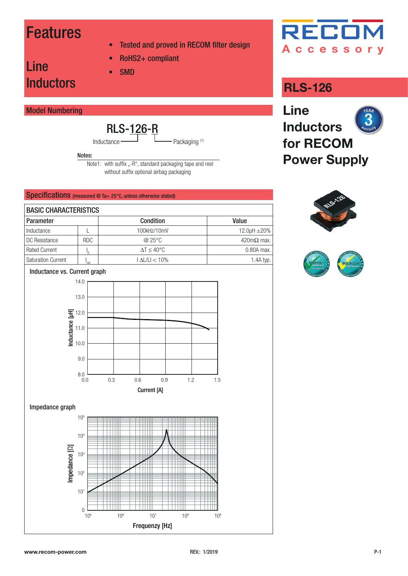### Features

Line

- Tested and proved in RECOM filter design
- RoHS2+ compliant
- SMD

### Model Numbering

**Inductors** 

$$
\text{RLS-126-R}_{\text{inter}}
$$

Packaging (1) Inductance

Notes:

Note1: with suffix "-R", standard packaging tape and reel without suffix optional airbag packaging

### Specifications (measured @ Ta= 25°C, unless otherwise stated)

| <b>BASIC CHARACTERISTICS</b> |            |                                 |                           |  |  |
|------------------------------|------------|---------------------------------|---------------------------|--|--|
| <b>Parameter</b>             |            | <b>Condition</b>                | Value                     |  |  |
| Inductance                   |            | 100kHz/10mV                     | 12.0 $\mu$ H $\pm$ 20%    |  |  |
| DC Resistance                | <b>RDC</b> | @25°C                           | $420 \text{m}\Omega$ max. |  |  |
| <b>Rated Current</b>         |            | $\Lambda$ T $\leq 40^{\circ}$ C | 0.80A max.                |  |  |
| <b>Saturation Current</b>    | 'sat       | $\vert$ AL/LI $<$ 10%           | $1.4A$ typ.               |  |  |

Inductance vs. Current graph



Impedance graph





### **RLS-126**





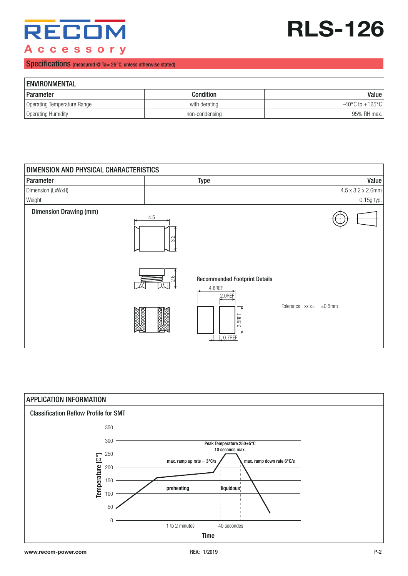

# **RLS-126**

#### Specifications (measured @ Ta= 25°C, unless otherwise stated)

| <b>ENVIRONMENTAL</b>        |                |                    |  |  |  |
|-----------------------------|----------------|--------------------|--|--|--|
| Parameter                   | Condition      | Value              |  |  |  |
| Operating Temperature Range | with derating  | -40°C to $+125$ °C |  |  |  |
| Operating Humidity          | non-condensing | 95% RH max.        |  |  |  |

| DIMENSION AND PHYSICAL CHARACTERISTICS |                          |                                                          |                                |                   |  |
|----------------------------------------|--------------------------|----------------------------------------------------------|--------------------------------|-------------------|--|
| Parameter                              |                          | <b>Type</b>                                              |                                | Value             |  |
| Dimension (LxWxH)                      |                          |                                                          |                                | 4.5 x 3.2 x 2.6mm |  |
| Weight                                 |                          |                                                          |                                | 0.15g typ.        |  |
| <b>Dimension Drawing (mm)</b>          | $4.5\,$<br>$\frac{1}{3}$ |                                                          |                                |                   |  |
|                                        | $\frac{6}{2}$            | <b>Recommended Footprint Details</b><br>4.8REF<br>2.0REF |                                |                   |  |
|                                        |                          | <b>BIE</b><br>ကါ<br>$, 0.7$ REF                          | Tolerance: $xx.x = \pm 0.5$ mm |                   |  |